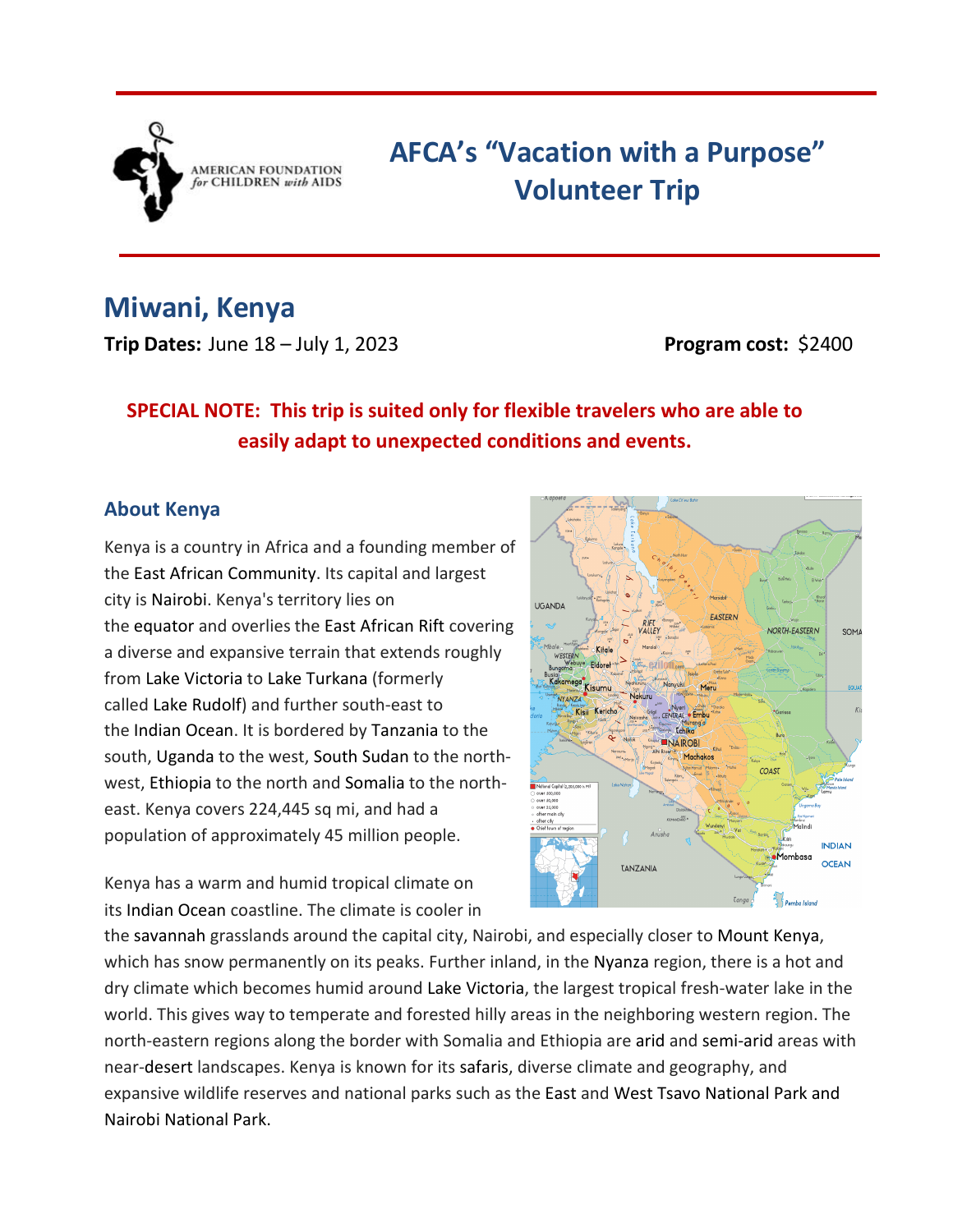

# **AFCA's "Vacation with a Purpose" Volunteer Trip**

# **Miwani, Kenya**

**Trip Dates:** June 18 – July 1, 2023<br>**Program cost:** \$2400

# **SPECIAL NOTE: This trip is suited only for flexible travelers who are able to easily adapt to unexpected conditions and events.**

#### **About Kenya**

Kenya is a country in Africa and a founding member of the East African Community. Its capital and largest city is Nairobi. Kenya's territory lies on the equator and overlies the East African Rift covering a diverse and expansive terrain that extends roughly from Lake Victoria to Lake Turkana (formerly called Lake Rudolf) and further south-east to the Indian Ocean. It is bordered by Tanzania to the south, Uganda to the west, South Sudan to the northwest, Ethiopia to the north and Somalia to the northeast. Kenya covers 224,445 sq mi, and had a population of approximately 45 million people.

Kenya has a warm and humid tropical climate on its Indian Ocean coastline. The climate is cooler in



the savannah grasslands around the capital city, Nairobi, and especially closer to Mount Kenya, which has snow permanently on its peaks. Further inland, in the Nyanza region, there is a hot and dry climate which becomes humid around Lake Victoria, the largest tropical fresh-water lake in the world. This gives way to temperate and forested hilly areas in the neighboring western region. The north-eastern regions along the border with Somalia and Ethiopia are arid and semi-arid areas with near-desert landscapes. Kenya is known for its safaris, diverse climate and geography, and expansive wildlife reserves and national parks such as the East and West Tsavo National Park and Nairobi National Park.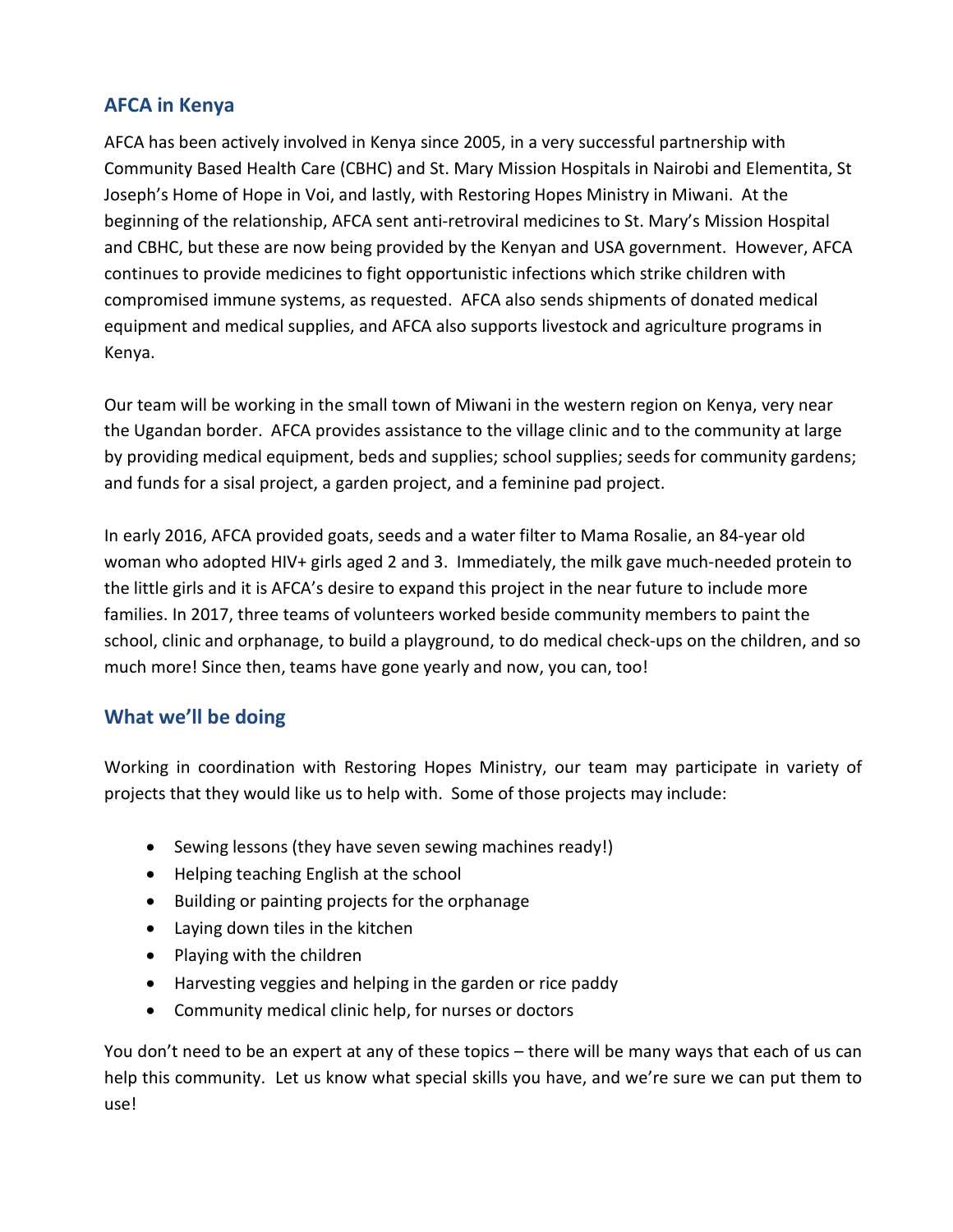### **AFCA in Kenya**

AFCA has been actively involved in Kenya since 2005, in a very successful partnership with Community Based Health Care (CBHC) and St. Mary Mission Hospitals in Nairobi and Elementita, St Joseph's Home of Hope in Voi, and lastly, with Restoring Hopes Ministry in Miwani. At the beginning of the relationship, AFCA sent anti-retroviral medicines to St. Mary's Mission Hospital and CBHC, but these are now being provided by the Kenyan and USA government. However, AFCA continues to provide medicines to fight opportunistic infections which strike children with compromised immune systems, as requested. AFCA also sends shipments of donated medical equipment and medical supplies, and AFCA also supports livestock and agriculture programs in Kenya.

Our team will be working in the small town of Miwani in the western region on Kenya, very near the Ugandan border. AFCA provides assistance to the village clinic and to the community at large by providing medical equipment, beds and supplies; school supplies; seeds for community gardens; and funds for a sisal project, a garden project, and a feminine pad project.

In early 2016, AFCA provided goats, seeds and a water filter to Mama Rosalie, an 84-year old woman who adopted HIV+ girls aged 2 and 3. Immediately, the milk gave much-needed protein to the little girls and it is AFCA's desire to expand this project in the near future to include more families. In 2017, three teams of volunteers worked beside community members to paint the school, clinic and orphanage, to build a playground, to do medical check-ups on the children, and so much more! Since then, teams have gone yearly and now, you can, too!

### **What we'll be doing**

Working in coordination with Restoring Hopes Ministry, our team may participate in variety of projects that they would like us to help with. Some of those projects may include:

- Sewing lessons (they have seven sewing machines ready!)
- Helping teaching English at the school
- Building or painting projects for the orphanage
- Laying down tiles in the kitchen
- Playing with the children
- Harvesting veggies and helping in the garden or rice paddy
- Community medical clinic help, for nurses or doctors

You don't need to be an expert at any of these topics – there will be many ways that each of us can help this community. Let us know what special skills you have, and we're sure we can put them to use!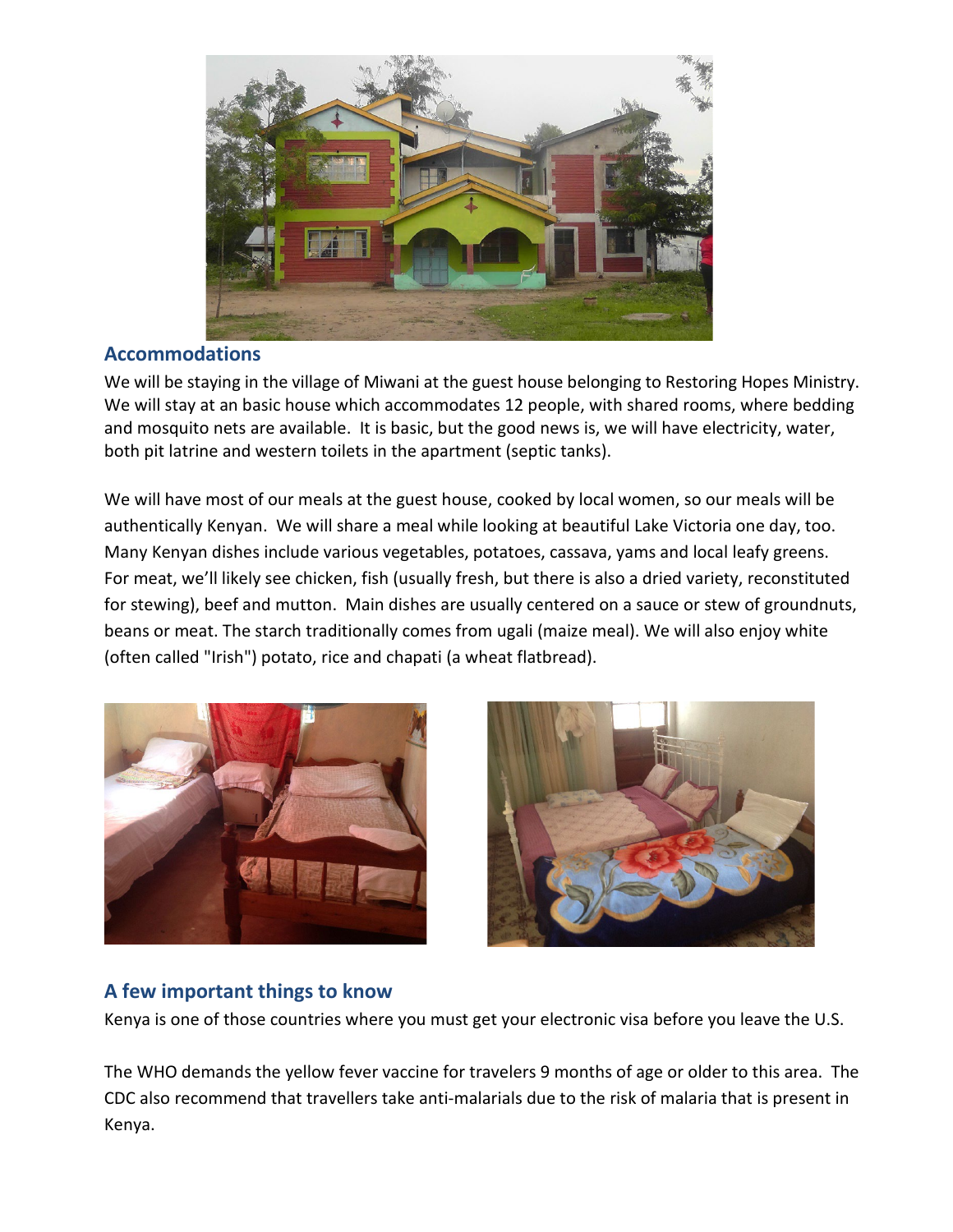

#### **Accommodations**

We will be staying in the village of Miwani at the guest house belonging to Restoring Hopes Ministry. We will stay at an basic house which accommodates 12 people, with shared rooms, where bedding and mosquito nets are available. It is basic, but the good news is, we will have electricity, water, both pit latrine and western toilets in the apartment (septic tanks).

We will have most of our meals at the guest house, cooked by local women, so our meals will be authentically Kenyan. We will share a meal while looking at beautiful Lake Victoria one day, too. Many Kenyan dishes include various vegetables, potatoes, cassava, yams and local leafy greens. For meat, we'll likely see chicken, fish (usually fresh, but there is also a dried variety, reconstituted for stewing), beef and mutton. Main dishes are usually centered on a sauce or stew of groundnuts, beans or meat. The starch traditionally comes from ugali (maize meal). We will also enjoy white (often called "Irish") potato, rice and chapati (a wheat flatbread).





## **A few important things to know**

Kenya is one of those countries where you must get your electronic visa before you leave the U.S.

The WHO demands the yellow fever vaccine for travelers 9 months of age or older to this area. The CDC also recommend that travellers take anti-malarials due to the risk of malaria that is present in Kenya.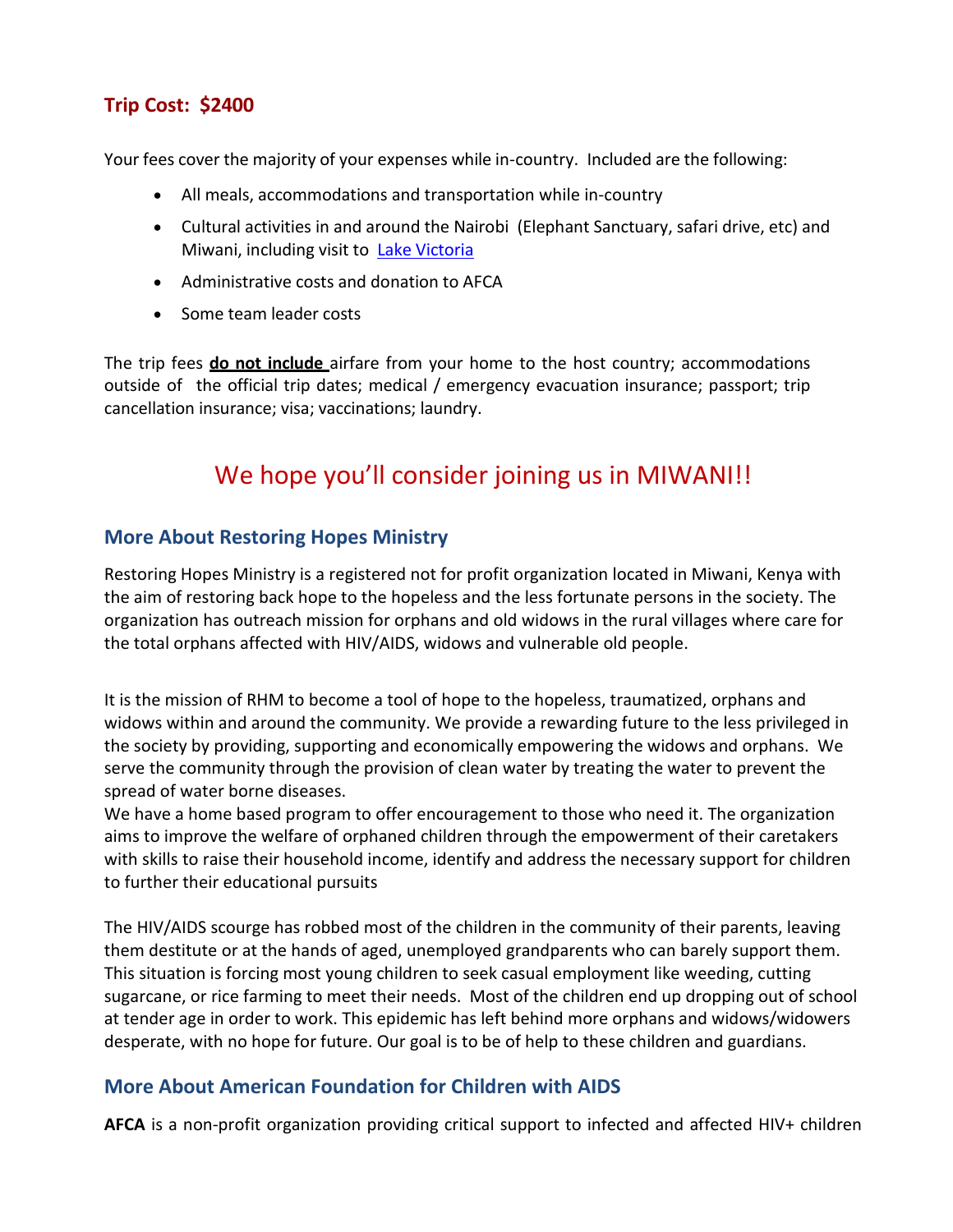## **Trip Cost: \$2400**

Your fees cover the majority of your expenses while in-country. Included are the following:

- All meals, accommodations and transportation while in-country
- Cultural activities in and around the Nairobi (Elephant Sanctuary, safari drive, etc) and Miwani, including visit to [Lake Victoria](https://interesting-africa-facts.com/Africa-Landforms/Lake-Victoria-Facts.html)
- Administrative costs and donation to AFCA
- Some team leader costs

The trip fees **do not include** airfare from your home to the host country; accommodations outside of the official trip dates; medical / emergency evacuation insurance; passport; trip cancellation insurance; visa; vaccinations; laundry.

# We hope you'll consider joining us in MIWANI!!

#### **More About Restoring Hopes Ministry**

Restoring Hopes Ministry is a registered not for profit organization located in Miwani, Kenya with the aim of restoring back hope to the hopeless and the less fortunate persons in the society. The organization has outreach mission for orphans and old widows in the rural villages where care for the total orphans affected with HIV/AIDS, widows and vulnerable old people.

It is the mission of RHM to become a tool of hope to the hopeless, traumatized, orphans and widows within and around the community. We provide a rewarding future to the less privileged in the society by providing, supporting and economically empowering the widows and orphans. We serve the community through the provision of clean water by treating the water to prevent the spread of water borne diseases.

We have a home based program to offer encouragement to those who need it. The organization aims to improve the welfare of orphaned children through the empowerment of their caretakers with skills to raise their household income, identify and address the necessary support for children to further their educational pursuits

The HIV/AIDS scourge has robbed most of the children in the community of their parents, leaving them destitute or at the hands of aged, unemployed grandparents who can barely support them. This situation is forcing most young children to seek casual employment like weeding, cutting sugarcane, or rice farming to meet their needs. Most of the children end up dropping out of school at tender age in order to work. This epidemic has left behind more orphans and widows/widowers desperate, with no hope for future. Our goal is to be of help to these children and guardians.

#### **More About American Foundation for Children with AIDS**

**AFCA** is a non-profit organization providing critical support to infected and affected HIV+ children